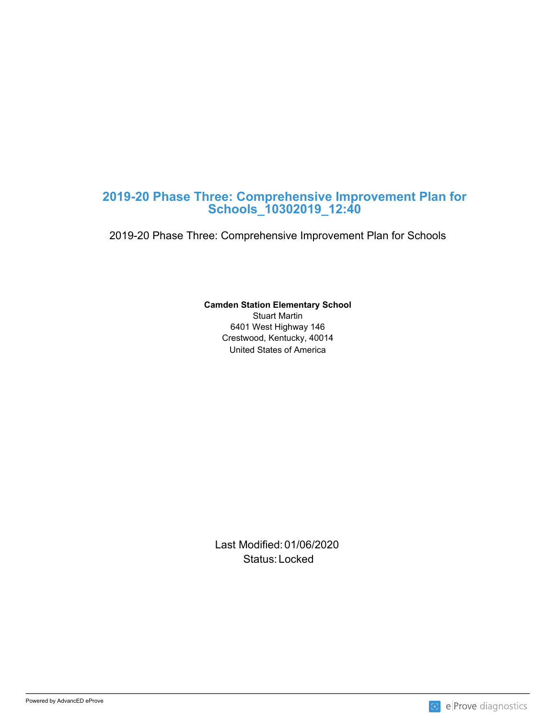# **2019-20 Phase Three: Comprehensive Improvement Plan for Schools\_10302019\_12:40**

2019-20 Phase Three: Comprehensive Improvement Plan for Schools

# **Camden Station Elementary School**

United States of America Stuart Martin 6401 West Highway 146 Crestwood, Kentucky, 40014

Last Modified: 01/06/2020 Status: Locked and the status of the status of the status of the status of the status of the status of the status of the status of the status of the status of the status of the status of the status of the status of the sta

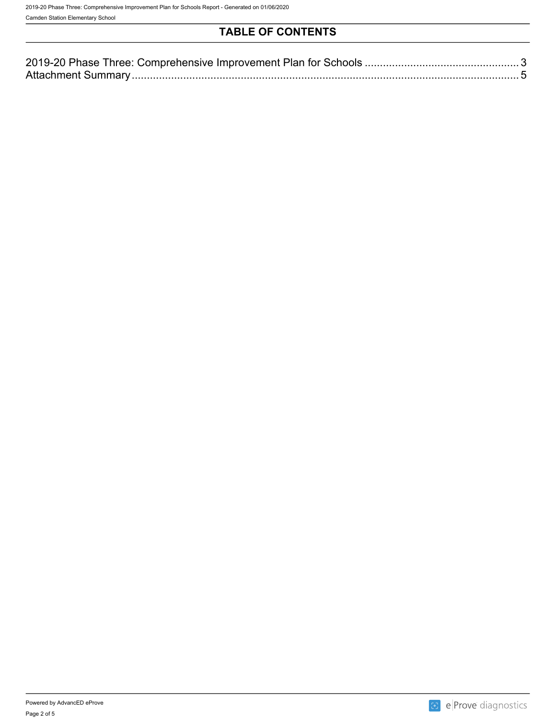Camden Station Elementary School

# **TABLE OF CONTENTS**

| 2019-20 Phase<br>Improvement Plan for a<br>「hree:(<br>Comprehensive<br>ാവട |  |
|----------------------------------------------------------------------------|--|
| Attachment<br>summar.                                                      |  |

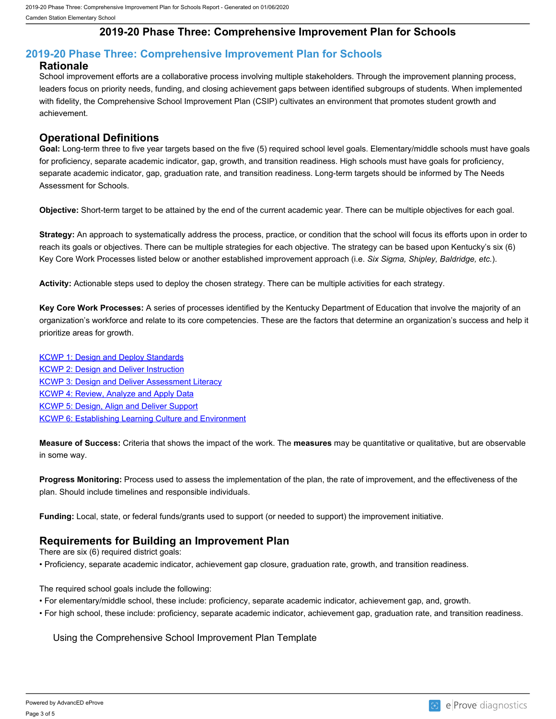## **2019-20 Phase Three: Comprehensive Improvement Plan for Schools**

#### <span id="page-2-0"></span>**2019-20 Phase Three: Comprehensive Improvement Plan for Schools Rationale**

School improvement efforts are a collaborative process involving multiple stakeholders. Through the improvement planning process, leaders focus on priority needs, funding, and closing achievement gaps between identified subgroups of students. When implemented with fidelity, the Comprehensive School Improvement Plan (CSIP) cultivates an environment that promotes student growth and achievement.

#### **Operational Definitions**

**Goal:** Long-term three to five year targets based on the five (5) required school level goals. Elementary/middle schools must have goals for proficiency, separate academic indicator, gap, growth, and transition readiness. High schools must have goals for proficiency, separate academic indicator, gap, graduation rate, and transition readiness. Long-term targets should be informed by The Needs Assessment for Schools.

**Objective:** Short-term target to be attained by the end of the current academic year. There can be multiple objectives for each goal.

**Strategy:** An approach to systematically address the process, practice, or condition that the school will focus its efforts upon in order to reach its goals or objectives. There can be multiple strategies for each objective. The strategy can be based upon Kentucky's six (6) Key Core Work Processes listed below or another established improvement approach (i.e. *Six Sigma, Shipley, Baldridge, etc.*).

**Activity:** Actionable steps used to deploy the chosen strategy. There can be multiple activities for each strategy.

**Key Core Work Processes:** A series of processes identified by the Kentucky Department of Education that involve the majority of an organization's workforce and relate to its core competencies. These are the factors that determine an organization's success and help it prioritize areas for growth.

[KCWP 1: Design and Deploy Standards](https://education.ky.gov/school/csip/Documents/KCWP%201%20Strategic%20Design%20and%20Deploy%20Standards.pdf) [KCWP 2: Design and Deliver Instruction](https://education.ky.gov/school/csip/Documents/KCWP%202%20Strategic%20Design%20and%20Deliver%20Instruction.pdf) [KCWP 3: Design and Deliver Assessment Literacy](https://education.ky.gov/school/csip/Documents/KCWP%203%20Strategic%20Design%20and%20Deliver%20Assessment%20Literacy.pdf) **[KCWP 4: Review, Analyze and Apply Data](https://education.ky.gov/school/csip/Documents/KCWP%204%20Strategic%20Review%20Analyze%20and%20Apply%20Data.pdf)** [KCWP 5: Design, Align and Deliver Support](https://education.ky.gov/school/csip/Documents/KCWP%205%20Strategic%20Design%20Align%20Deliver%20Support%20Processes.pdf) **[KCWP 6: Establishing Learning Culture and Environment](https://education.ky.gov/school/csip/Documents/KCWP%206%20Strategic%20Establish%20Learning%20Culture%20and%20Environment.pdf)** 

**Measure of Success:** Criteria that shows the impact of the work. The **measures** may be quantitative or qualitative, but are observable in some way.

**Progress Monitoring:** Process used to assess the implementation of the plan, the rate of improvement, and the effectiveness of the plan. Should include timelines and responsible individuals.

**Funding:** Local, state, or federal funds/grants used to support (or needed to support) the improvement initiative.

#### **Requirements for Building an Improvement Plan**

There are six (6) required district goals:

• Proficiency, separate academic indicator, achievement gap closure, graduation rate, growth, and transition readiness.

The required school goals include the following:

- For elementary/middle school, these include: proficiency, separate academic indicator, achievement gap, and, growth.
- For high school, these include: proficiency, separate academic indicator, achievement gap, graduation rate, and transition readiness.

Using the Comprehensive School Improvement Plan Template

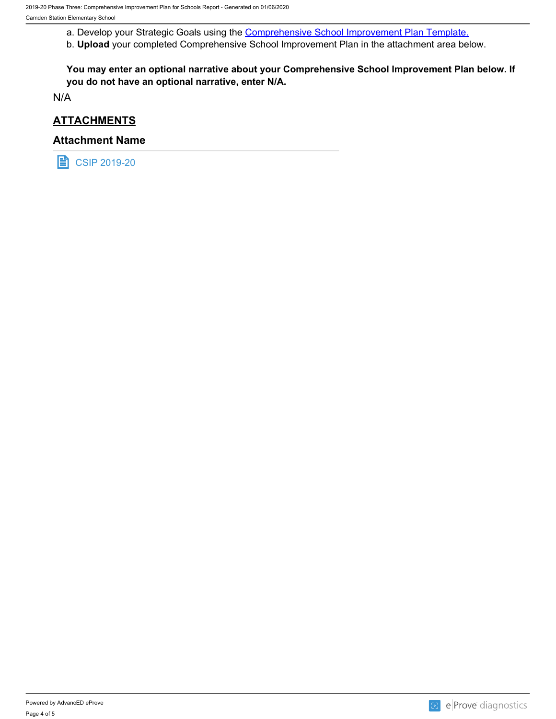a. Develop your Strategic Goals using the **Comprehensive School Improvement Plan Template.** 

b. **Upload** your completed Comprehensive School Improvement Plan in the attachment area below.

**You may enter an optional narrative about your Comprehensive School Improvement Plan below. If you do not have an optional narrative, enter N/A.**

N/A

### **ATTACHMENTS**

#### **Attachment Name**

**目 CSIP 2019-20**